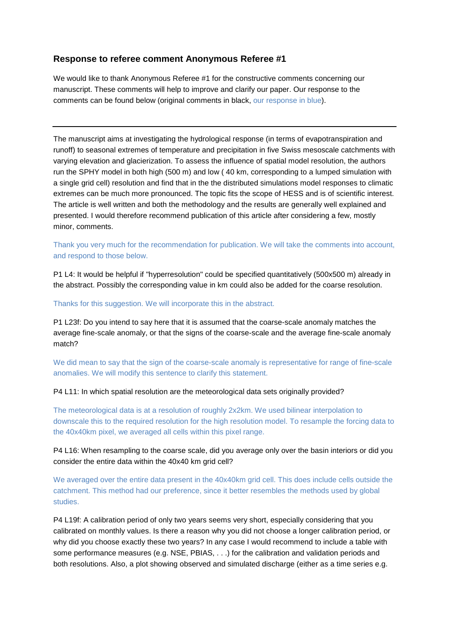# **Response to referee comment Anonymous Referee #1**

We would like to thank Anonymous Referee #1 for the constructive comments concerning our manuscript. These comments will help to improve and clarify our paper. Our response to the comments can be found below (original comments in black, our response in blue).

The manuscript aims at investigating the hydrological response (in terms of evapotranspiration and runoff) to seasonal extremes of temperature and precipitation in five Swiss mesoscale catchments with varying elevation and glacierization. To assess the influence of spatial model resolution, the authors run the SPHY model in both high (500 m) and low ( 40 km, corresponding to a lumped simulation with a single grid cell) resolution and find that in the the distributed simulations model responses to climatic extremes can be much more pronounced. The topic fits the scope of HESS and is of scientific interest. The article is well written and both the methodology and the results are generally well explained and presented. I would therefore recommend publication of this article after considering a few, mostly minor, comments.

Thank you very much for the recommendation for publication. We will take the comments into account, and respond to those below.

P1 L4: It would be helpful if "hyperresolution" could be specified quantitatively (500x500 m) already in the abstract. Possibly the corresponding value in km could also be added for the coarse resolution.

Thanks for this suggestion. We will incorporate this in the abstract.

P1 L23f: Do you intend to say here that it is assumed that the coarse-scale anomaly matches the average fine-scale anomaly, or that the signs of the coarse-scale and the average fine-scale anomaly match?

We did mean to say that the sign of the coarse-scale anomaly is representative for range of fine-scale anomalies. We will modify this sentence to clarify this statement.

P4 L11: In which spatial resolution are the meteorological data sets originally provided?

The meteorological data is at a resolution of roughly 2x2km. We used bilinear interpolation to downscale this to the required resolution for the high resolution model. To resample the forcing data to the 40x40km pixel, we averaged all cells within this pixel range.

P4 L16: When resampling to the coarse scale, did you average only over the basin interiors or did you consider the entire data within the 40x40 km grid cell?

We averaged over the entire data present in the 40x40km grid cell. This does include cells outside the catchment. This method had our preference, since it better resembles the methods used by global studies.

P4 L19f: A calibration period of only two years seems very short, especially considering that you calibrated on monthly values. Is there a reason why you did not choose a longer calibration period, or why did you choose exactly these two years? In any case I would recommend to include a table with some performance measures (e.g. NSE, PBIAS, . . .) for the calibration and validation periods and both resolutions. Also, a plot showing observed and simulated discharge (either as a time series e.g.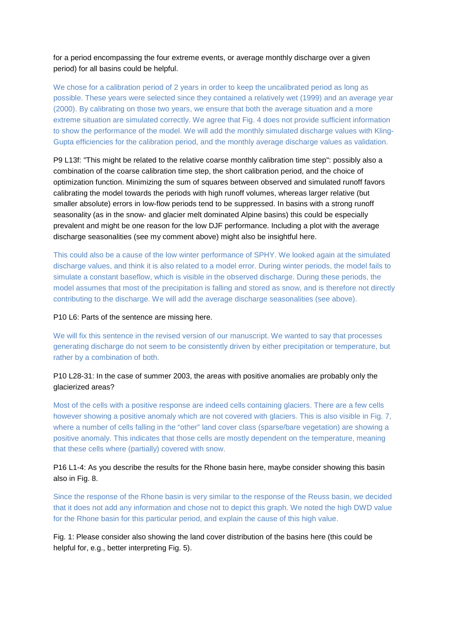for a period encompassing the four extreme events, or average monthly discharge over a given period) for all basins could be helpful.

We chose for a calibration period of 2 years in order to keep the uncalibrated period as long as possible. These years were selected since they contained a relatively wet (1999) and an average year (2000). By calibrating on those two years, we ensure that both the average situation and a more extreme situation are simulated correctly. We agree that Fig. 4 does not provide sufficient information to show the performance of the model. We will add the monthly simulated discharge values with Kling-Gupta efficiencies for the calibration period, and the monthly average discharge values as validation.

P9 L13f: "This might be related to the relative coarse monthly calibration time step": possibly also a combination of the coarse calibration time step, the short calibration period, and the choice of optimization function. Minimizing the sum of squares between observed and simulated runoff favors calibrating the model towards the periods with high runoff volumes, whereas larger relative (but smaller absolute) errors in low-flow periods tend to be suppressed. In basins with a strong runoff seasonality (as in the snow- and glacier melt dominated Alpine basins) this could be especially prevalent and might be one reason for the low DJF performance. Including a plot with the average discharge seasonalities (see my comment above) might also be insightful here.

This could also be a cause of the low winter performance of SPHY. We looked again at the simulated discharge values, and think it is also related to a model error. During winter periods, the model fails to simulate a constant baseflow, which is visible in the observed discharge. During these periods, the model assumes that most of the precipitation is falling and stored as snow, and is therefore not directly contributing to the discharge. We will add the average discharge seasonalities (see above).

#### P10 L6: Parts of the sentence are missing here.

We will fix this sentence in the revised version of our manuscript. We wanted to say that processes generating discharge do not seem to be consistently driven by either precipitation or temperature, but rather by a combination of both.

### P10 L28-31: In the case of summer 2003, the areas with positive anomalies are probably only the glacierized areas?

Most of the cells with a positive response are indeed cells containing glaciers. There are a few cells however showing a positive anomaly which are not covered with glaciers. This is also visible in Fig. 7, where a number of cells falling in the "other" land cover class (sparse/bare vegetation) are showing a positive anomaly. This indicates that those cells are mostly dependent on the temperature, meaning that these cells where (partially) covered with snow.

## P16 L1-4: As you describe the results for the Rhone basin here, maybe consider showing this basin also in Fig. 8.

Since the response of the Rhone basin is very similar to the response of the Reuss basin, we decided that it does not add any information and chose not to depict this graph. We noted the high DWD value for the Rhone basin for this particular period, and explain the cause of this high value.

Fig. 1: Please consider also showing the land cover distribution of the basins here (this could be helpful for, e.g., better interpreting Fig. 5).